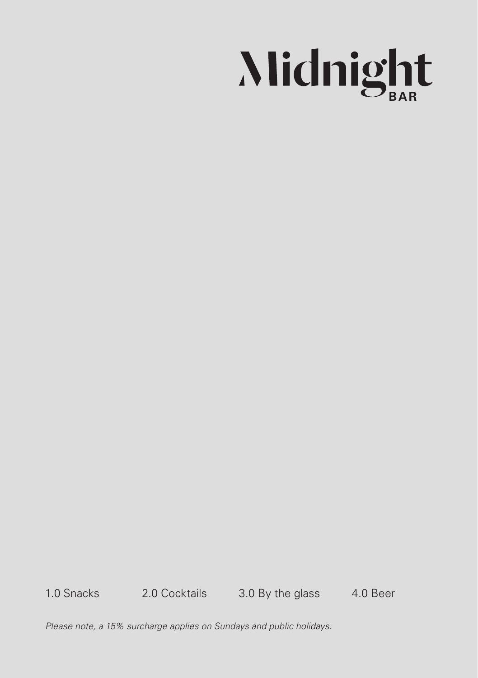

1.0 Snacks 2.0 Cocktails 3.0 By the glass 4.0 Beer

*Please note, a 15% surcharge applies on Sundays and public holidays.*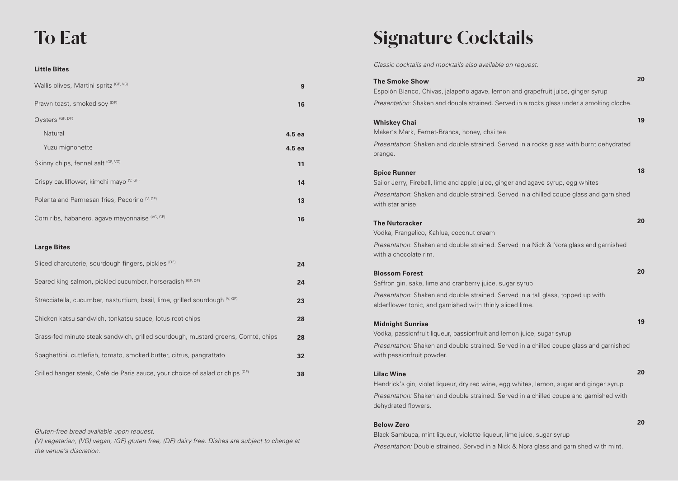## To Eat

#### **Little Bites**

| Wallis olives, Martini spritz (GF, VG)                  | 9      |
|---------------------------------------------------------|--------|
| Prawn toast, smoked soy (DF)                            | 16     |
| Oysters (GF, DF)                                        |        |
| Natural                                                 | 4.5 ea |
| Yuzu mignonette                                         | 4.5 ea |
| Skinny chips, fennel salt (GF, VG)                      | 11     |
| Crispy cauliflower, kimchi mayo <sup>(V, GF)</sup>      | 14     |
| Polenta and Parmesan fries, Pecorino <sup>(V, GF)</sup> | 13     |
| Corn ribs, habanero, agave mayonnaise (VG, GF)          | 16     |

#### **Large Bites**

| Sliced charcuterie, sourdough fingers, pickles (DF)                                      | 24 |
|------------------------------------------------------------------------------------------|----|
| Seared king salmon, pickled cucumber, horseradish (GF, DF)                               | 24 |
| Stracciatella, cucumber, nasturtium, basil, lime, grilled sourdough <sup>(V, GF)</sup>   | 23 |
| Chicken katsu sandwich, tonkatsu sauce, lotus root chips                                 | 28 |
| Grass-fed minute steak sandwich, grilled sourdough, mustard greens, Comté, chips         | 28 |
| Spaghettini, cuttlefish, tomato, smoked butter, citrus, pangrattato                      | 32 |
| Grilled hanger steak, Café de Paris sauce, your choice of salad or chips <sup>(GF)</sup> | 38 |

*Gluten-free bread available upon request.*

*(V) vegetarian, (VG) vegan, (GF) gluten free, (DF) dairy free. Dishes are subject to change at the venue's discretion.* 

## Signature Cocktails

*Classic cocktails and mocktails also available on request.*

| <b>The Smoke Show</b>                                                                                                | 20 |
|----------------------------------------------------------------------------------------------------------------------|----|
| Espolòn Blanco, Chivas, jalapeño agave, lemon and grapefruit juice, ginger syrup                                     |    |
| Presentation: Shaken and double strained. Served in a rocks glass under a smoking cloche.                            |    |
| <b>Whiskey Chai</b><br>Maker's Mark, Fernet-Branca, honey, chai tea                                                  | 19 |
| Presentation: Shaken and double strained. Served in a rocks glass with burnt dehydrated                              |    |
| orange.                                                                                                              |    |
|                                                                                                                      | 18 |
| <b>Spice Runner</b>                                                                                                  |    |
| Sailor Jerry, Fireball, lime and apple juice, ginger and agave syrup, egg whites                                     |    |
| Presentation: Shaken and double strained. Served in a chilled coupe glass and garnished<br>with star anise.          |    |
| <b>The Nutcracker</b>                                                                                                | 20 |
| Vodka, Frangelico, Kahlua, coconut cream                                                                             |    |
| <i>Presentation:</i> Shaken and double strained. Served in a Nick & Nora glass and garnished                         |    |
| with a chocolate rim.                                                                                                |    |
| <b>Blossom Forest</b>                                                                                                | 20 |
| Saffron gin, sake, lime and cranberry juice, sugar syrup                                                             |    |
| Presentation: Shaken and double strained. Served in a tall glass, topped up with                                     |    |
| elderflower tonic, and garnished with thinly sliced lime.                                                            |    |
|                                                                                                                      | 19 |
| <b>Midnight Sunrise</b>                                                                                              |    |
| Vodka, passionfruit liqueur, passionfruit and lemon juice, sugar syrup                                               |    |
| Presentation: Shaken and double strained. Served in a chilled coupe glass and garnished<br>with passionfruit powder. |    |
|                                                                                                                      |    |
| <b>Lilac Wine</b>                                                                                                    | 20 |
| Hendrick's gin, violet liqueur, dry red wine, egg whites, lemon, sugar and ginger syrup                              |    |
| Presentation: Shaken and double strained. Served in a chilled coupe and garnished with                               |    |
| dehydrated flowers.                                                                                                  |    |
| <b>Below Zero</b>                                                                                                    | 20 |
| Black Sambuca, mint liqueur, violette liqueur, lime juice, sugar syrup                                               |    |

*Presentation:* Double strained. Served in a Nick & Nora glass and garnished with mint.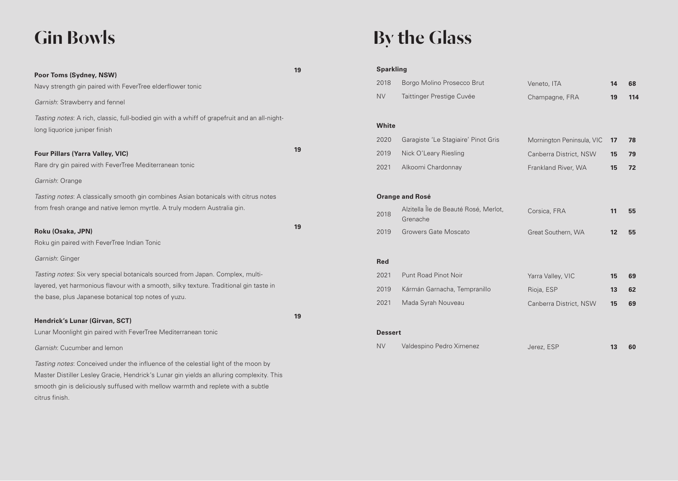# Gin Bowls

citrus finish.

| Poor Toms (Sydney, NSW)                                                                                                                                                                                                                                           | 19 |
|-------------------------------------------------------------------------------------------------------------------------------------------------------------------------------------------------------------------------------------------------------------------|----|
| Navy strength gin paired with FeverTree elderflower tonic                                                                                                                                                                                                         |    |
| Garnish: Strawberry and fennel                                                                                                                                                                                                                                    |    |
|                                                                                                                                                                                                                                                                   |    |
| Tasting notes: A rich, classic, full-bodied gin with a whiff of grapefruit and an all-night-<br>long liquorice juniper finish                                                                                                                                     |    |
| <b>Four Pillars (Yarra Valley, VIC)</b>                                                                                                                                                                                                                           | 19 |
| Rare dry gin paired with FeverTree Mediterranean tonic                                                                                                                                                                                                            |    |
| Garnish: Orange                                                                                                                                                                                                                                                   |    |
| Tasting notes: A classically smooth gin combines Asian botanicals with citrus notes<br>from fresh orange and native lemon myrtle. A truly modern Australia gin.                                                                                                   |    |
| Roku (Osaka, JPN)<br>Roku gin paired with FeverTree Indian Tonic                                                                                                                                                                                                  | 19 |
| Garnish: Ginger                                                                                                                                                                                                                                                   |    |
| Tasting notes: Six very special botanicals sourced from Japan. Complex, multi-<br>layered, yet harmonious flavour with a smooth, silky texture. Traditional gin taste in<br>the base, plus Japanese botanical top notes of yuzu.                                  |    |
| Hendrick's Lunar (Girvan, SCT)                                                                                                                                                                                                                                    | 19 |
| Lunar Moonlight gin paired with FeverTree Mediterranean tonic                                                                                                                                                                                                     |    |
| Garnish: Cucumber and lemon                                                                                                                                                                                                                                       |    |
| Tasting notes: Conceived under the influence of the celestial light of the moon by<br>Master Distiller Lesley Gracie, Hendrick's Lunar gin yields an alluring complexity. This<br>smooth gin is deliciously suffused with mellow warmth and replete with a subtle |    |

# By the Glass

#### **Sparkling**

| 2018       | Borgo Molino Prosecco Brut                        | Veneto, ITA               | 14 | 68  |
|------------|---------------------------------------------------|---------------------------|----|-----|
| <b>NV</b>  | Taittinger Prestige Cuvée                         | Champagne, FRA            | 19 | 114 |
|            |                                                   |                           |    |     |
| White      |                                                   |                           |    |     |
| 2020       | Garagiste 'Le Stagiaire' Pinot Gris               | Mornington Peninsula, VIC | 17 | 78  |
| 2019       | Nick O'Leary Riesling                             | Canberra District, NSW    | 15 | 79  |
| 2021       | Alkoomi Chardonnay                                | Frankland River, WA       | 15 | 72  |
|            |                                                   |                           |    |     |
|            | <b>Orange and Rosé</b>                            |                           |    |     |
| 2018       | Alzitella Île de Beauté Rosé, Merlot,<br>Grenache | Corsica, FRA              | 11 | 55  |
| 2019       | Growers Gate Moscato                              | Great Southern, WA        | 12 | 55  |
|            |                                                   |                           |    |     |
| <b>Red</b> |                                                   |                           |    |     |
| 2021       | <b>Punt Road Pinot Noir</b>                       | Yarra Valley, VIC         | 15 | 69  |
| 2019       | Kármán Garnacha, Tempranillo                      | Rioja, ESP                | 13 | 62  |
| 2021       | Mada Syrah Nouveau                                | Canberra District, NSW    | 15 | 69  |
|            |                                                   |                           |    |     |
|            |                                                   |                           |    |     |

#### **Dessert**

| <b>NV</b><br>Valdespino Pedro Ximenez<br>Jerez, ESP |  | 60 |
|-----------------------------------------------------|--|----|
|-----------------------------------------------------|--|----|